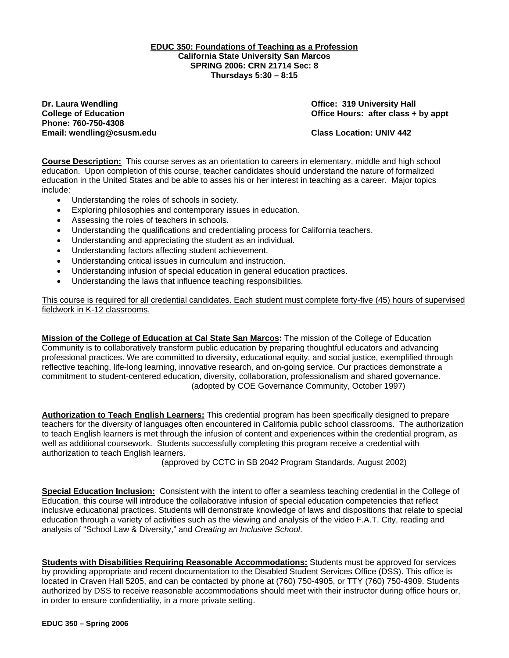#### **EDUC 350: Foundations of Teaching as a Profession California State University San Marcos SPRING 2006: CRN 21714 Sec: 8 Thursdays 5:30 – 8:15**

**Dr. Laura Wendling Community Community Community Community Community Community Community Community Property Add Phone: 760-750-4308 Email: wendling@csusm.edu Class Location: UNIV 442** 

**College of Education College of Education College Act College of Education College Act Class + by appt** 

**Course Description:** This course serves as an orientation to careers in elementary, middle and high school education. Upon completion of this course, teacher candidates should understand the nature of formalized education in the United States and be able to asses his or her interest in teaching as a career. Major topics include:

- Understanding the roles of schools in society.
- Exploring philosophies and contemporary issues in education.
- Assessing the roles of teachers in schools.
- Understanding the qualifications and credentialing process for California teachers.
- Understanding and appreciating the student as an individual.
- Understanding factors affecting student achievement.
- Understanding critical issues in curriculum and instruction.
- Understanding infusion of special education in general education practices.
- Understanding the laws that influence teaching responsibilities.

This course is required for all credential candidates. Each student must complete forty-five (45) hours of supervised fieldwork in K-12 classrooms.

**Mission of the College of Education at Cal State San Marcos:** The mission of the College of Education Community is to collaboratively transform public education by preparing thoughtful educators and advancing professional practices. We are committed to diversity, educational equity, and social justice, exemplified through reflective teaching, life-long learning, innovative research, and on-going service. Our practices demonstrate a commitment to student-centered education, diversity, collaboration, professionalism and shared governance. (adopted by COE Governance Community, October 1997)

**Authorization to Teach English Learners:** This credential program has been specifically designed to prepare teachers for the diversity of languages often encountered in California public school classrooms. The authorization to teach English learners is met through the infusion of content and experiences within the credential program, as well as additional coursework. Students successfully completing this program receive a credential with authorization to teach English learners.

(approved by CCTC in SB 2042 Program Standards, August 2002)

**Special Education Inclusion:** Consistent with the intent to offer a seamless teaching credential in the College of Education, this course will introduce the collaborative infusion of special education competencies that reflect inclusive educational practices. Students will demonstrate knowledge of laws and dispositions that relate to special education through a variety of activities such as the viewing and analysis of the video F.A.T. City, reading and analysis of "School Law & Diversity," and *Creating an Inclusive School*.

**Students with Disabilities Requiring Reasonable Accommodations:** Students must be approved for services by providing appropriate and recent documentation to the Disabled Student Services Office (DSS). This office is located in Craven Hall 5205, and can be contacted by phone at (760) 750-4905, or TTY (760) 750-4909. Students authorized by DSS to receive reasonable accommodations should meet with their instructor during office hours or, in order to ensure confidentiality, in a more private setting.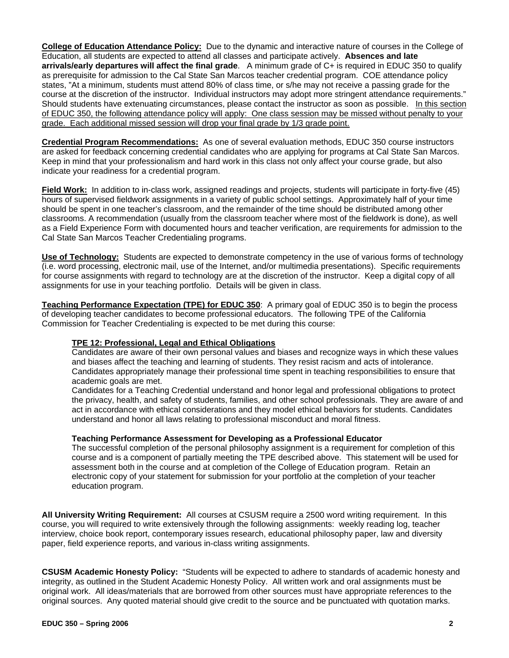**College of Education Attendance Policy:** Due to the dynamic and interactive nature of courses in the College of Education, all students are expected to attend all classes and participate actively. **Absences and late arrivals/early departures will affect the final grade**. A minimum grade of C+ is required in EDUC 350 to qualify as prerequisite for admission to the Cal State San Marcos teacher credential program. COE attendance policy states, "At a minimum, students must attend 80% of class time, or s/he may not receive a passing grade for the course at the discretion of the instructor. Individual instructors may adopt more stringent attendance requirements." Should students have extenuating circumstances, please contact the instructor as soon as possible. In this section of EDUC 350, the following attendance policy will apply: One class session may be missed without penalty to your grade. Each additional missed session will drop your final grade by 1/3 grade point.

**Credential Program Recommendations:** As one of several evaluation methods, EDUC 350 course instructors are asked for feedback concerning credential candidates who are applying for programs at Cal State San Marcos. Keep in mind that your professionalism and hard work in this class not only affect your course grade, but also indicate your readiness for a credential program.

**Field Work:** In addition to in-class work, assigned readings and projects, students will participate in forty-five (45) hours of supervised fieldwork assignments in a variety of public school settings. Approximately half of your time should be spent in one teacher's classroom, and the remainder of the time should be distributed among other classrooms. A recommendation (usually from the classroom teacher where most of the fieldwork is done), as well as a Field Experience Form with documented hours and teacher verification, are requirements for admission to the Cal State San Marcos Teacher Credentialing programs.

**Use of Technology:** Students are expected to demonstrate competency in the use of various forms of technology (i.e. word processing, electronic mail, use of the Internet, and/or multimedia presentations). Specific requirements for course assignments with regard to technology are at the discretion of the instructor. Keep a digital copy of all assignments for use in your teaching portfolio. Details will be given in class.

**Teaching Performance Expectation (TPE) for EDUC 350**: A primary goal of EDUC 350 is to begin the process of developing teacher candidates to become professional educators. The following TPE of the California Commission for Teacher Credentialing is expected to be met during this course:

# **TPE 12: Professional, Legal and Ethical Obligations**

Candidates are aware of their own personal values and biases and recognize ways in which these values and biases affect the teaching and learning of students. They resist racism and acts of intolerance. Candidates appropriately manage their professional time spent in teaching responsibilities to ensure that academic goals are met.

Candidates for a Teaching Credential understand and honor legal and professional obligations to protect the privacy, health, and safety of students, families, and other school professionals. They are aware of and act in accordance with ethical considerations and they model ethical behaviors for students. Candidates understand and honor all laws relating to professional misconduct and moral fitness.

#### **Teaching Performance Assessment for Developing as a Professional Educator**

The successful completion of the personal philosophy assignment is a requirement for completion of this course and is a component of partially meeting the TPE described above. This statement will be used for assessment both in the course and at completion of the College of Education program. Retain an electronic copy of your statement for submission for your portfolio at the completion of your teacher education program.

**All University Writing Requirement:** All courses at CSUSM require a 2500 word writing requirement. In this course, you will required to write extensively through the following assignments: weekly reading log, teacher interview, choice book report, contemporary issues research, educational philosophy paper, law and diversity paper, field experience reports, and various in-class writing assignments.

**CSUSM Academic Honesty Policy:** "Students will be expected to adhere to standards of academic honesty and integrity, as outlined in the Student Academic Honesty Policy. All written work and oral assignments must be original work. All ideas/materials that are borrowed from other sources must have appropriate references to the original sources. Any quoted material should give credit to the source and be punctuated with quotation marks.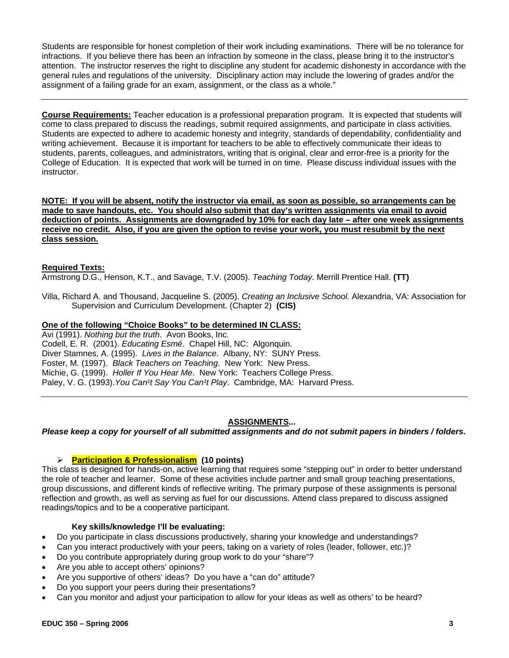Students are responsible for honest completion of their work including examinations. There will be no tolerance for infractions. If you believe there has been an infraction by someone in the class, please bring it to the instructor's attention. The instructor reserves the right to discipline any student for academic dishonesty in accordance with the general rules and regulations of the university. Disciplinary action may include the lowering of grades and/or the assignment of a failing grade for an exam, assignment, or the class as a whole."

**Course Requirements:** Teacher education is a professional preparation program. It is expected that students will come to class prepared to discuss the readings, submit required assignments, and participate in class activities. Students are expected to adhere to academic honesty and integrity, standards of dependability, confidentiality and writing achievement. Because it is important for teachers to be able to effectively communicate their ideas to students, parents, colleagues, and administrators, writing that is original, clear and error-free is a priority for the College of Education. It is expected that work will be turned in on time. Please discuss individual issues with the instructor.

**NOTE: If you will be absent, notify the instructor via email, as soon as possible, so arrangements can be made to save handouts, etc. You should also submit that day's written assignments via email to avoid deduction of points. Assignments are downgraded by 10% for each day late – after one week assignments receive no credit. Also, if you are given the option to revise your work, you must resubmit by the next class session.**

# **Required Texts:**

Armstrong D.G., Henson, K.T., and Savage, T.V. (2005). *Teaching Today.* Merrill Prentice Hall. **(TT)**

Villa, Richard A. and Thousand, Jacqueline S. (2005). *Creating an Inclusive School.* Alexandria, VA: Association for Supervision and Curriculum Development. (Chapter 2) **(CIS)**

## **One of the following "Choice Books" to be determined IN CLASS:**

Avi (1991). *Nothing but the truth*. Avon Books, Inc. Codell, E. R. (2001). *Educating Esmé*. Chapel Hill, NC: Algonquin. Diver Stamnes, A. (1995). *Lives in the Balance*. Albany, NY: SUNY Press. Foster, M. (1997). *Black Teachers on Teaching*. New York: New Press. Michie, G. (1999). *Holler If You Hear Me*. New York: Teachers College Press. Paley, V. G. (1993). You Can<sup>1</sup>t Say You Can<sup>1</sup>t Play. Cambridge, MA: Harvard Press.

# **ASSIGNMENTS...**

#### *Please keep a copy for yourself of all submitted assignments and do not submit papers in binders / folders.*

#### ¾ **Participation & Professionalism (10 points)**

This class is designed for hands-on, active learning that requires some "stepping out" in order to better understand the role of teacher and learner. Some of these activities include partner and small group teaching presentations, group discussions, and different kinds of reflective writing. The primary purpose of these assignments is personal reflection and growth, as well as serving as fuel for our discussions. Attend class prepared to discuss assigned readings/topics and to be a cooperative participant.

#### **Key skills/knowledge I'll be evaluating:**

- Do you participate in class discussions productively, sharing your knowledge and understandings?
- Can you interact productively with your peers, taking on a variety of roles (leader, follower, etc.)?
- Do you contribute appropriately during group work to do your "share"?
- Are you able to accept others' opinions?
- Are you supportive of others' ideas? Do you have a "can do" attitude?
- Do you support your peers during their presentations?
- Can you monitor and adjust your participation to allow for your ideas as well as others' to be heard?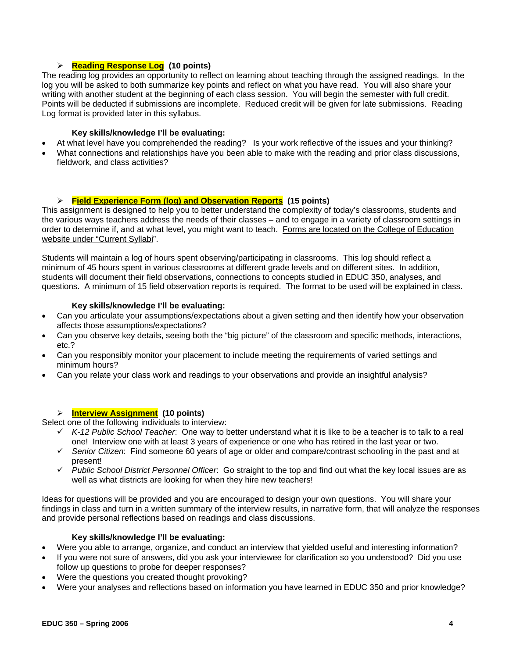# ¾ **Reading Response Log (10 points)**

The reading log provides an opportunity to reflect on learning about teaching through the assigned readings. In the log you will be asked to both summarize key points and reflect on what you have read. You will also share your writing with another student at the beginning of each class session. You will begin the semester with full credit. Points will be deducted if submissions are incomplete. Reduced credit will be given for late submissions. Reading Log format is provided later in this syllabus.

## **Key skills/knowledge I'll be evaluating:**

- At what level have you comprehended the reading? Is your work reflective of the issues and your thinking?
- What connections and relationships have you been able to make with the reading and prior class discussions, fieldwork, and class activities?

# ¾ **Field Experience Form (log) and Observation Reports (15 points)**

This assignment is designed to help you to better understand the complexity of today's classrooms, students and the various ways teachers address the needs of their classes – and to engage in a variety of classroom settings in order to determine if, and at what level, you might want to teach. Forms are located on the College of Education website under "Current Syllabi".

Students will maintain a log of hours spent observing/participating in classrooms. This log should reflect a minimum of 45 hours spent in various classrooms at different grade levels and on different sites. In addition, students will document their field observations, connections to concepts studied in EDUC 350, analyses, and questions. A minimum of 15 field observation reports is required. The format to be used will be explained in class.

#### **Key skills/knowledge I'll be evaluating:**

- Can you articulate your assumptions/expectations about a given setting and then identify how your observation affects those assumptions/expectations?
- Can you observe key details, seeing both the "big picture" of the classroom and specific methods, interactions, etc.?
- Can you responsibly monitor your placement to include meeting the requirements of varied settings and minimum hours?
- Can you relate your class work and readings to your observations and provide an insightful analysis?

# ¾ **Interview Assignment (10 points)**

Select one of the following individuals to interview:

- 9 *K-12 Public School Teacher*: One way to better understand what it is like to be a teacher is to talk to a real one! Interview one with at least 3 years of experience or one who has retired in the last year or two.
- 9 *Senior Citizen*: Find someone 60 years of age or older and compare/contrast schooling in the past and at present!
- 9 *Public School District Personnel Officer*: Go straight to the top and find out what the key local issues are as well as what districts are looking for when they hire new teachers!

Ideas for questions will be provided and you are encouraged to design your own questions. You will share your findings in class and turn in a written summary of the interview results, in narrative form, that will analyze the responses and provide personal reflections based on readings and class discussions.

#### **Key skills/knowledge I'll be evaluating:**

- Were you able to arrange, organize, and conduct an interview that yielded useful and interesting information?
- If you were not sure of answers, did you ask your interviewee for clarification so you understood? Did you use follow up questions to probe for deeper responses?
- Were the questions you created thought provoking?
- Were your analyses and reflections based on information you have learned in EDUC 350 and prior knowledge?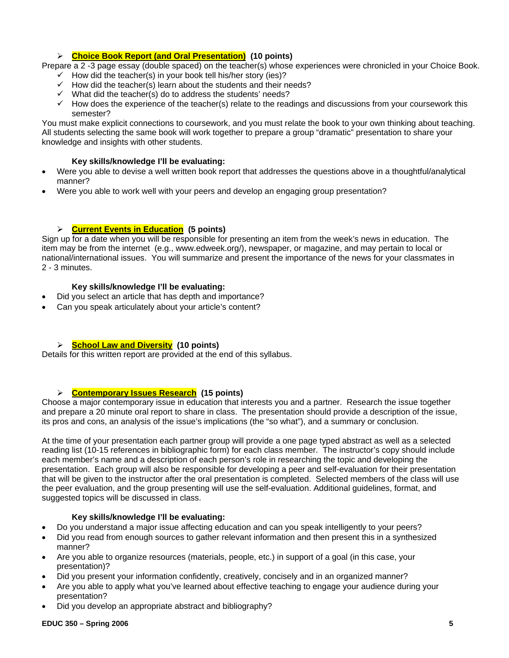# ¾ **Choice Book Report (and Oral Presentation) (10 points)**

Prepare a 2 -3 page essay (double spaced) on the teacher(s) whose experiences were chronicled in your Choice Book.

- $\checkmark$  How did the teacher(s) in your book tell his/her story (ies)?
- $\checkmark$  How did the teacher(s) learn about the students and their needs?
- $\checkmark$  What did the teacher(s) do to address the students' needs?
- $\checkmark$  How does the experience of the teacher(s) relate to the readings and discussions from your coursework this semester?

You must make explicit connections to coursework, and you must relate the book to your own thinking about teaching. All students selecting the same book will work together to prepare a group "dramatic" presentation to share your knowledge and insights with other students.

# **Key skills/knowledge I'll be evaluating:**

- Were you able to devise a well written book report that addresses the questions above in a thoughtful/analytical manner?
- Were you able to work well with your peers and develop an engaging group presentation?

# ¾ **Current Events in Education (5 points)**

Sign up for a date when you will be responsible for presenting an item from the week's news in education. The item may be from the internet (e.g., www.edweek.org/), newspaper, or magazine, and may pertain to local or national/international issues. You will summarize and present the importance of the news for your classmates in 2 - 3 minutes.

# **Key skills/knowledge I'll be evaluating:**

- Did you select an article that has depth and importance?
- Can you speak articulately about your article's content?

# ¾ **School Law and Diversity (10 points)**

Details for this written report are provided at the end of this syllabus.

# ¾ **Contemporary Issues Research (15 points)**

Choose a major contemporary issue in education that interests you and a partner. Research the issue together and prepare a 20 minute oral report to share in class. The presentation should provide a description of the issue, its pros and cons, an analysis of the issue's implications (the "so what"), and a summary or conclusion.

At the time of your presentation each partner group will provide a one page typed abstract as well as a selected reading list (10-15 references in bibliographic form) for each class member. The instructor's copy should include each member's name and a description of each person's role in researching the topic and developing the presentation. Each group will also be responsible for developing a peer and self-evaluation for their presentation that will be given to the instructor after the oral presentation is completed. Selected members of the class will use the peer evaluation, and the group presenting will use the self-evaluation. Additional guidelines, format, and suggested topics will be discussed in class.

# **Key skills/knowledge I'll be evaluating:**

- Do you understand a major issue affecting education and can you speak intelligently to your peers?
- Did you read from enough sources to gather relevant information and then present this in a synthesized manner?
- Are you able to organize resources (materials, people, etc.) in support of a goal (in this case, your presentation)?
- Did you present your information confidently, creatively, concisely and in an organized manner?
- Are you able to apply what you've learned about effective teaching to engage your audience during your presentation?
- Did you develop an appropriate abstract and bibliography?

#### **EDUC 350 – Spring 2006 5**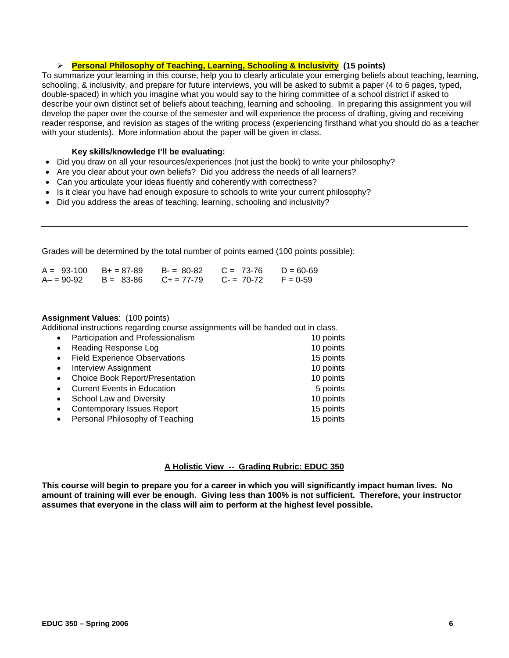#### ¾ **Personal Philosophy of Teaching, Learning, Schooling & Inclusivity (15 points)**

To summarize your learning in this course, help you to clearly articulate your emerging beliefs about teaching, learning, schooling, & inclusivity, and prepare for future interviews, you will be asked to submit a paper (4 to 6 pages, typed, double-spaced) in which you imagine what you would say to the hiring committee of a school district if asked to describe your own distinct set of beliefs about teaching, learning and schooling. In preparing this assignment you will develop the paper over the course of the semester and will experience the process of drafting, giving and receiving reader response, and revision as stages of the writing process (experiencing firsthand what you should do as a teacher with your students). More information about the paper will be given in class.

#### **Key skills/knowledge I'll be evaluating:**

- Did you draw on all your resources/experiences (not just the book) to write your philosophy?
- Are you clear about your own beliefs? Did you address the needs of all learners?
- Can you articulate your ideas fluently and coherently with correctness?
- Is it clear you have had enough exposure to schools to write your current philosophy?
- Did you address the areas of teaching, learning, schooling and inclusivity?

Grades will be determined by the total number of points earned (100 points possible):

|               | $A = 93-100$ $B+ = 87-89$ | $B = 80-82$ | $C = 73-76$ $D = 60-69$                |  |
|---------------|---------------------------|-------------|----------------------------------------|--|
| $A - 90 - 92$ | $B = 83 - 86$             |             | $C_+ = 77-79$ $C_- = 70-72$ $F = 0-59$ |  |

#### **Assignment Values**: (100 points)

Additional instructions regarding course assignments will be handed out in class.

| $\bullet$ | Participation and Professionalism      | 10 points |
|-----------|----------------------------------------|-----------|
| $\bullet$ | Reading Response Log                   | 10 points |
| $\bullet$ | <b>Field Experience Observations</b>   | 15 points |
| $\bullet$ | <b>Interview Assignment</b>            | 10 points |
| $\bullet$ | <b>Choice Book Report/Presentation</b> | 10 points |
| $\bullet$ | <b>Current Events in Education</b>     | 5 points  |
| $\bullet$ | School Law and Diversity               | 10 points |
| $\bullet$ | <b>Contemporary Issues Report</b>      | 15 points |
|           | Personal Philosophy of Teaching        | 15 points |

# **A Holistic View -- Grading Rubric: EDUC 350**

**This course will begin to prepare you for a career in which you will significantly impact human lives. No amount of training will ever be enough. Giving less than 100% is not sufficient. Therefore, your instructor assumes that everyone in the class will aim to perform at the highest level possible.**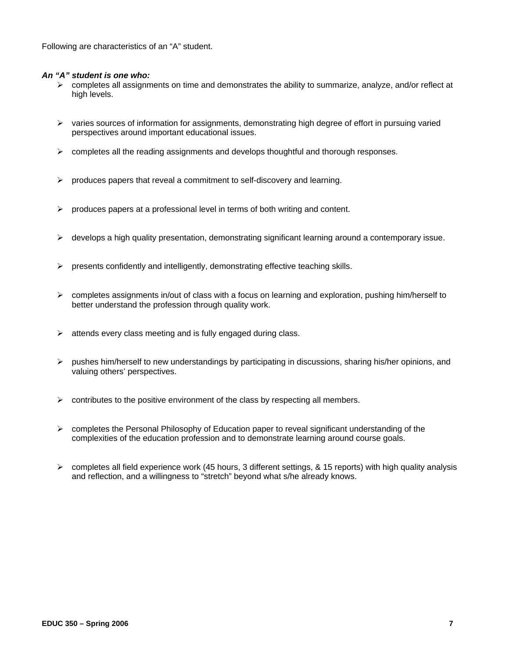Following are characteristics of an "A" student.

#### *An "A" student is one who:*

- $\triangleright$  completes all assignments on time and demonstrates the ability to summarize, analyze, and/or reflect at high levels.
- $\triangleright$  varies sources of information for assignments, demonstrating high degree of effort in pursuing varied perspectives around important educational issues.
- $\triangleright$  completes all the reading assignments and develops thoughtful and thorough responses.
- $\triangleright$  produces papers that reveal a commitment to self-discovery and learning.
- $\triangleright$  produces papers at a professional level in terms of both writing and content.
- ¾ develops a high quality presentation, demonstrating significant learning around a contemporary issue.
- $\triangleright$  presents confidently and intelligently, demonstrating effective teaching skills.
- $\triangleright$  completes assignments in/out of class with a focus on learning and exploration, pushing him/herself to better understand the profession through quality work.
- $\triangleright$  attends every class meeting and is fully engaged during class.
- $\triangleright$  pushes him/herself to new understandings by participating in discussions, sharing his/her opinions, and valuing others' perspectives.
- $\triangleright$  contributes to the positive environment of the class by respecting all members.
- $\triangleright$  completes the Personal Philosophy of Education paper to reveal significant understanding of the complexities of the education profession and to demonstrate learning around course goals.
- $\triangleright$  completes all field experience work (45 hours, 3 different settings, & 15 reports) with high quality analysis and reflection, and a willingness to "stretch" beyond what s/he already knows.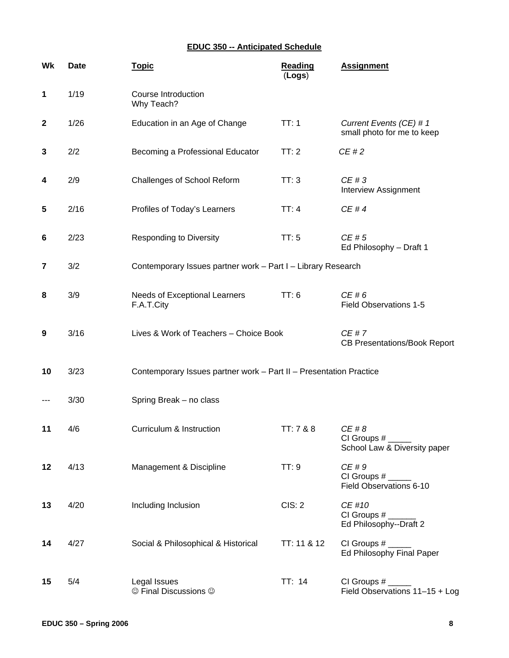# **EDUC 350 -- Anticipated Schedule**

| Wk          | <b>Date</b> | <u>Topic</u>                                                       | <b>Reading</b><br>(Logs) | <b>Assignment</b>                                     |
|-------------|-------------|--------------------------------------------------------------------|--------------------------|-------------------------------------------------------|
| 1           | 1/19        | Course Introduction<br>Why Teach?                                  |                          |                                                       |
| $\mathbf 2$ | 1/26        | Education in an Age of Change                                      | TT:1                     | Current Events (CE) # 1<br>small photo for me to keep |
| 3           | 2/2         | Becoming a Professional Educator                                   | TT:2                     | CE#2                                                  |
| 4           | 2/9         | Challenges of School Reform                                        | TT:3                     | CE#3<br>Interview Assignment                          |
| 5           | 2/16        | Profiles of Today's Learners                                       | TT:4                     | CE#4                                                  |
| 6           | 2/23        | <b>Responding to Diversity</b>                                     | TT:5                     | CE#5<br>Ed Philosophy - Draft 1                       |
| 7           | 3/2         | Contemporary Issues partner work - Part I - Library Research       |                          |                                                       |
| 8           | 3/9         | Needs of Exceptional Learners<br>F.A.T.City                        | TT:6                     | CE#6<br><b>Field Observations 1-5</b>                 |
| 9           | 3/16        | Lives & Work of Teachers - Choice Book                             |                          | CE#7<br><b>CB Presentations/Book Report</b>           |
| 10          | 3/23        | Contemporary Issues partner work - Part II - Presentation Practice |                          |                                                       |
| ---         | 3/30        | Spring Break - no class                                            |                          |                                                       |
| 11          | 4/6         | Curriculum & Instruction                                           | TT: 7 & 8                | CE # 8<br>CI Groups #<br>School Law & Diversity paper |
| 12          | 4/13        | Management & Discipline                                            | TT:9                     | CE#9<br>CI Groups #<br>Field Observations 6-10        |
| 13          | 4/20        | Including Inclusion                                                | CIS: 2                   | CE #10<br>$CI$ Groups $#$<br>Ed Philosophy--Draft 2   |
| 14          | 4/27        | Social & Philosophical & Historical                                | TT: 11 & 12              | Ed Philosophy Final Paper                             |
| 15          | 5/4         | Legal Issues<br>© Final Discussions ©                              | TT: 14                   | CI Groups $#_$<br>Field Observations 11-15 + Log      |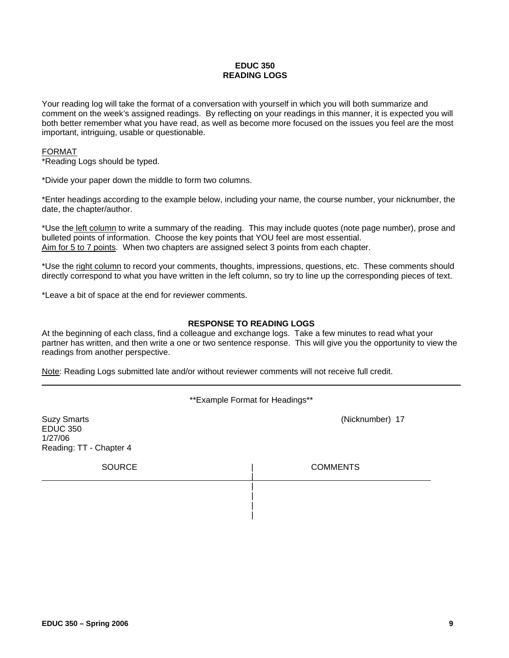# **EDUC 350 READING LOGS**

Your reading log will take the format of a conversation with yourself in which you will both summarize and comment on the week's assigned readings. By reflecting on your readings in this manner, it is expected you will both better remember what you have read, as well as become more focused on the issues you feel are the most important, intriguing, usable or questionable.

#### FORMAT

\*Reading Logs should be typed.

\*Divide your paper down the middle to form two columns.

\*Enter headings according to the example below, including your name, the course number, your nicknumber, the date, the chapter/author.

\*Use the left column to write a summary of the reading. This may include quotes (note page number), prose and bulleted points of information. Choose the key points that YOU feel are most essential. Aim for 5 to 7 points. When two chapters are assigned select 3 points from each chapter.

\*Use the right column to record your comments, thoughts, impressions, questions, etc. These comments should directly correspond to what you have written in the left column, so try to line up the corresponding pieces of text.

\*Leave a bit of space at the end for reviewer comments.

#### **RESPONSE TO READING LOGS**

At the beginning of each class, find a colleague and exchange logs. Take a few minutes to read what your partner has written, and then write a one or two sentence response. This will give you the opportunity to view the readings from another perspective.

Note: Reading Logs submitted late and/or without reviewer comments will not receive full credit.

\*\*Example Format for Headings\*\*

| <b>Suzy Smarts</b><br><b>EDUC 350</b><br>1/27/06<br>Reading: TT - Chapter 4 | (Nicknumber) 17 |
|-----------------------------------------------------------------------------|-----------------|
| <b>SOURCE</b>                                                               | <b>COMMENTS</b> |
|                                                                             |                 |
|                                                                             |                 |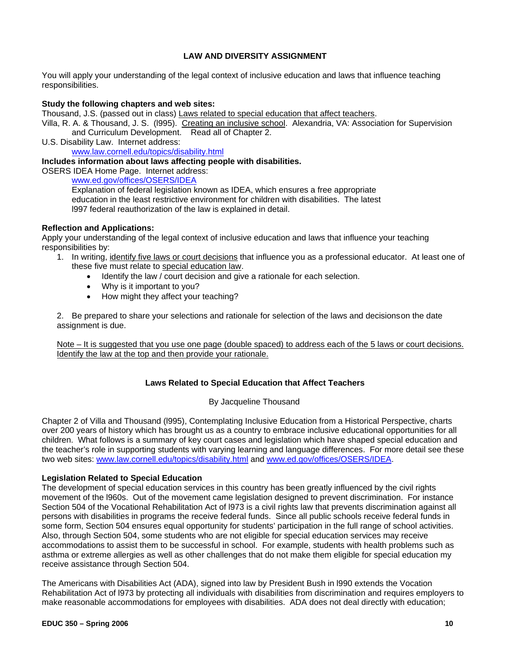# **LAW AND DIVERSITY ASSIGNMENT**

You will apply your understanding of the legal context of inclusive education and laws that influence teaching responsibilities.

#### **Study the following chapters and web sites:**

Thousand, J.S. (passed out in class) Laws related to special education that affect teachers.

Villa, R. A. & Thousand, J. S. (1995). Creating an inclusive school. Alexandria, VA: Association for Supervision and Curriculum Development. Read all of Chapter 2.

U.S. Disability Law. Internet address: www.law.cornell.edu/topics/disability.html

#### **Includes information about laws affecting people with disabilities.**

OSERS IDEA Home Page. Internet address:

www.ed.gov/offices/OSERS/IDEA

Explanation of federal legislation known as IDEA, which ensures a free appropriate education in the least restrictive environment for children with disabilities. The latest l997 federal reauthorization of the law is explained in detail.

#### **Reflection and Applications:**

Apply your understanding of the legal context of inclusive education and laws that influence your teaching responsibilities by:

- 1. In writing, identify five laws or court decisions that influence you as a professional educator. At least one of these five must relate to special education law.
	- Identify the law / court decision and give a rationale for each selection.
	- Why is it important to you?
	- How might they affect your teaching?

2. Be prepared to share your selections and rationale for selection of the laws and decisions on the date assignment is due.

Note – It is suggested that you use one page (double spaced) to address each of the 5 laws or court decisions. Identify the law at the top and then provide your rationale.

#### **Laws Related to Special Education that Affect Teachers**

#### By Jacqueline Thousand

Chapter 2 of Villa and Thousand (l995), Contemplating Inclusive Education from a Historical Perspective, charts over 200 years of history which has brought us as a country to embrace inclusive educational opportunities for all children. What follows is a summary of key court cases and legislation which have shaped special education and the teacher's role in supporting students with varying learning and language differences. For more detail see these two web sites: www.law.cornell.edu/topics/disability.html and www.ed.gov/offices/OSERS/IDEA.

#### **Legislation Related to Special Education**

The development of special education services in this country has been greatly influenced by the civil rights movement of the l960s. Out of the movement came legislation designed to prevent discrimination. For instance Section 504 of the Vocational Rehabilitation Act of l973 is a civil rights law that prevents discrimination against all persons with disabilities in programs the receive federal funds. Since all public schools receive federal funds in some form, Section 504 ensures equal opportunity for students' participation in the full range of school activities. Also, through Section 504, some students who are not eligible for special education services may receive accommodations to assist them to be successful in school. For example, students with health problems such as asthma or extreme allergies as well as other challenges that do not make them eligible for special education my receive assistance through Section 504.

The Americans with Disabilities Act (ADA), signed into law by President Bush in l990 extends the Vocation Rehabilitation Act of l973 by protecting all individuals with disabilities from discrimination and requires employers to make reasonable accommodations for employees with disabilities. ADA does not deal directly with education;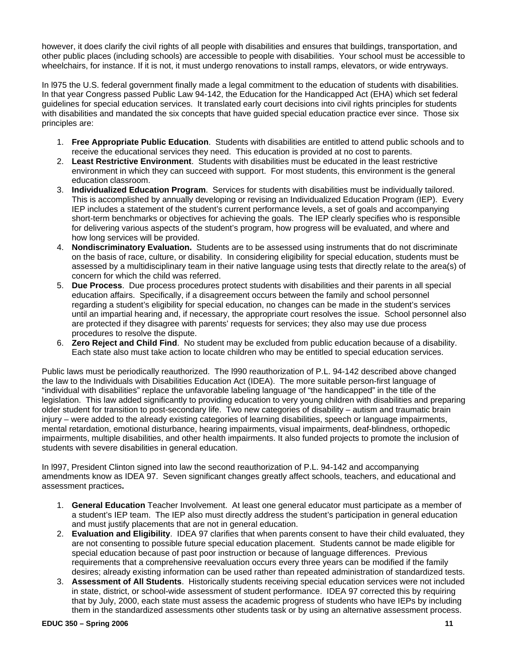however, it does clarify the civil rights of all people with disabilities and ensures that buildings, transportation, and other public places (including schools) are accessible to people with disabilities. Your school must be accessible to wheelchairs, for instance. If it is not, it must undergo renovations to install ramps, elevators, or wide entryways.

In l975 the U.S. federal government finally made a legal commitment to the education of students with disabilities. In that year Congress passed Public Law 94-142, the Education for the Handicapped Act (EHA) which set federal guidelines for special education services. It translated early court decisions into civil rights principles for students with disabilities and mandated the six concepts that have guided special education practice ever since. Those six principles are:

- 1. **Free Appropriate Public Education**. Students with disabilities are entitled to attend public schools and to receive the educational services they need. This education is provided at no cost to parents.
- 2. **Least Restrictive Environment**. Students with disabilities must be educated in the least restrictive environment in which they can succeed with support. For most students, this environment is the general education classroom.
- 3. **Individualized Education Program**. Services for students with disabilities must be individually tailored. This is accomplished by annually developing or revising an Individualized Education Program (IEP). Every IEP includes a statement of the student's current performance levels, a set of goals and accompanying short-term benchmarks or objectives for achieving the goals. The IEP clearly specifies who is responsible for delivering various aspects of the student's program, how progress will be evaluated, and where and how long services will be provided.
- 4. **Nondiscriminatory Evaluation.** Students are to be assessed using instruments that do not discriminate on the basis of race, culture, or disability. In considering eligibility for special education, students must be assessed by a multidisciplinary team in their native language using tests that directly relate to the area(s) of concern for which the child was referred.
- 5. **Due Process**. Due process procedures protect students with disabilities and their parents in all special education affairs. Specifically, if a disagreement occurs between the family and school personnel regarding a student's eligibility for special education, no changes can be made in the student's services until an impartial hearing and, if necessary, the appropriate court resolves the issue. School personnel also are protected if they disagree with parents' requests for services; they also may use due process procedures to resolve the dispute.
- 6. **Zero Reject and Child Find**. No student may be excluded from public education because of a disability. Each state also must take action to locate children who may be entitled to special education services.

Public laws must be periodically reauthorized. The l990 reauthorization of P.L. 94-142 described above changed the law to the Individuals with Disabilities Education Act (IDEA). The more suitable person-first language of "individual with disabilities" replace the unfavorable labeling language of "the handicapped" in the title of the legislation. This law added significantly to providing education to very young children with disabilities and preparing older student for transition to post-secondary life. Two new categories of disability – autism and traumatic brain injury – were added to the already existing categories of learning disabilities, speech or language impairments, mental retardation, emotional disturbance, hearing impairments, visual impairments, deaf-blindness, orthopedic impairments, multiple disabilities, and other health impairments. It also funded projects to promote the inclusion of students with severe disabilities in general education.

In l997, President Clinton signed into law the second reauthorization of P.L. 94-142 and accompanying amendments know as IDEA 97. Seven significant changes greatly affect schools, teachers, and educational and assessment practices**.** 

- 1. **General Education** Teacher Involvement. At least one general educator must participate as a member of a student's IEP team. The IEP also must directly address the student's participation in general education and must justify placements that are not in general education.
- 2. **Evaluation and Eligibility**. IDEA 97 clarifies that when parents consent to have their child evaluated, they are not consenting to possible future special education placement. Students cannot be made eligible for special education because of past poor instruction or because of language differences. Previous requirements that a comprehensive reevaluation occurs every three years can be modified if the family desires; already existing information can be used rather than repeated administration of standardized tests.
- 3. **Assessment of All Students**. Historically students receiving special education services were not included in state, district, or school-wide assessment of student performance. IDEA 97 corrected this by requiring that by July, 2000, each state must assess the academic progress of students who have IEPs by including them in the standardized assessments other students task or by using an alternative assessment process.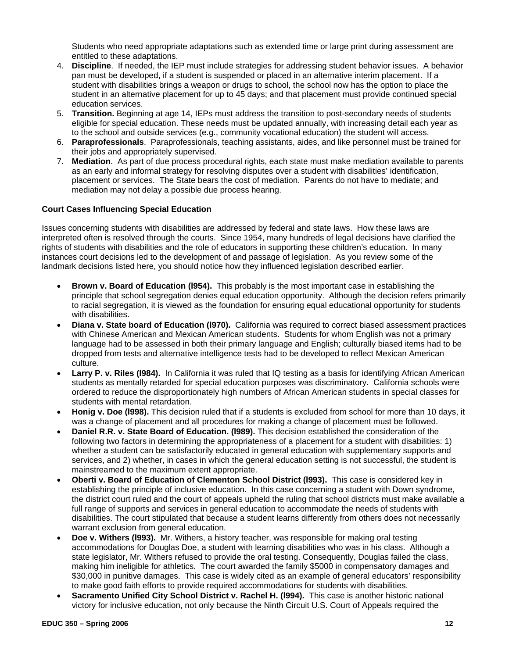Students who need appropriate adaptations such as extended time or large print during assessment are entitled to these adaptations.

- 4. **Discipline**. If needed, the IEP must include strategies for addressing student behavior issues. A behavior pan must be developed, if a student is suspended or placed in an alternative interim placement. If a student with disabilities brings a weapon or drugs to school, the school now has the option to place the student in an alternative placement for up to 45 days; and that placement must provide continued special education services.
- 5. **Transition.** Beginning at age 14, IEPs must address the transition to post-secondary needs of students eligible for special education. These needs must be updated annually, with increasing detail each year as to the school and outside services (e.g., community vocational education) the student will access.
- 6. **Paraprofessionals**. Paraprofessionals, teaching assistants, aides, and like personnel must be trained for their jobs and appropriately supervised.
- 7. **Mediation**. As part of due process procedural rights, each state must make mediation available to parents as an early and informal strategy for resolving disputes over a student with disabilities' identification, placement or services. The State bears the cost of mediation. Parents do not have to mediate; and mediation may not delay a possible due process hearing.

## **Court Cases Influencing Special Education**

Issues concerning students with disabilities are addressed by federal and state laws. How these laws are interpreted often is resolved through the courts. Since 1954, many hundreds of legal decisions have clarified the rights of students with disabilities and the role of educators in supporting these children's education. In many instances court decisions led to the development of and passage of legislation. As you review some of the landmark decisions listed here, you should notice how they influenced legislation described earlier.

- **Brown v. Board of Education (l954).** This probably is the most important case in establishing the principle that school segregation denies equal education opportunity. Although the decision refers primarily to racial segregation, it is viewed as the foundation for ensuring equal educational opportunity for students with disabilities.
- **Diana v. State board of Education (l970).** California was required to correct biased assessment practices with Chinese American and Mexican American students. Students for whom English was not a primary language had to be assessed in both their primary language and English; culturally biased items had to be dropped from tests and alternative intelligence tests had to be developed to reflect Mexican American culture.
- **Larry P. v. Riles (l984).** In California it was ruled that IQ testing as a basis for identifying African American students as mentally retarded for special education purposes was discriminatory. California schools were ordered to reduce the disproportionately high numbers of African American students in special classes for students with mental retardation.
- **Honig v. Doe (l998).** This decision ruled that if a students is excluded from school for more than 10 days, it was a change of placement and all procedures for making a change of placement must be followed.
- **Daniel R.R. v. State Board of Education. (l989).** This decision established the consideration of the following two factors in determining the appropriateness of a placement for a student with disabilities: 1) whether a student can be satisfactorily educated in general education with supplementary supports and services, and 2) whether, in cases in which the general education setting is not successful, the student is mainstreamed to the maximum extent appropriate.
- **Oberti v. Board of Education of Clementon School District (l993).** This case is considered key in establishing the principle of inclusive education. In this case concerning a student with Down syndrome, the district court ruled and the court of appeals upheld the ruling that school districts must make available a full range of supports and services in general education to accommodate the needs of students with disabilities. The court stipulated that because a student learns differently from others does not necessarily warrant exclusion from general education.
- **Doe v. Withers (l993).** Mr. Withers, a history teacher, was responsible for making oral testing accommodations for Douglas Doe, a student with learning disabilities who was in his class. Although a state legislator, Mr. Withers refused to provide the oral testing. Consequently, Douglas failed the class, making him ineligible for athletics. The court awarded the family \$5000 in compensatory damages and \$30,000 in punitive damages. This case is widely cited as an example of general educators' responsibility to make good faith efforts to provide required accommodations for students with disabilities.
- **Sacramento Unified City School District v. Rachel H. (l994).** This case is another historic national victory for inclusive education, not only because the Ninth Circuit U.S. Court of Appeals required the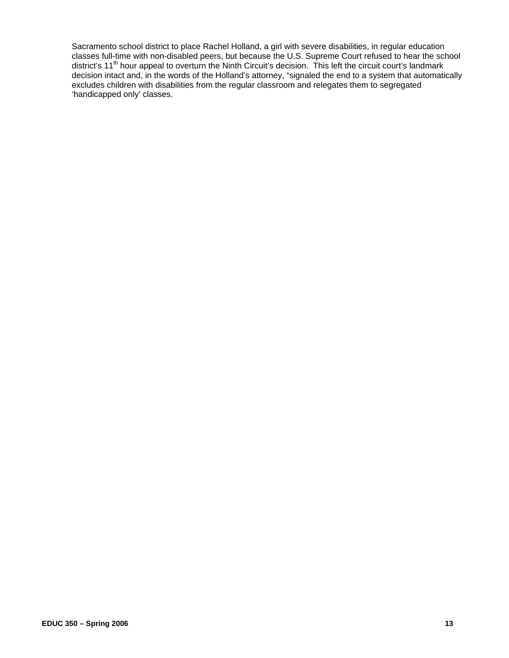Sacramento school district to place Rachel Holland, a girl with severe disabilities, in regular education classes full-time with non-disabled peers, but because the U.S. Supreme Court refused to hear the school district's 11th hour appeal to overturn the Ninth Circuit's decision. This left the circuit court's landmark decision intact and, in the words of the Holland's attorney, "signaled the end to a system that automatically excludes children with disabilities from the regular classroom and relegates them to segregated 'handicapped only' classes.